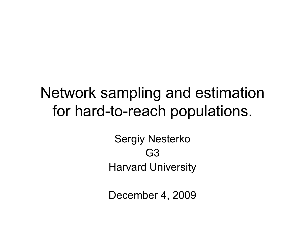#### Network sampling and estimation for hard-to-reach populations.

Sergiy Nesterko G3 Harvard University

December 4, 2009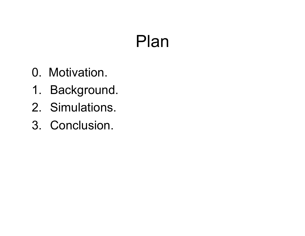## Plan

- 0. Motivation.
- 1. Background.
- 2. Simulations.
- 3. Conclusion.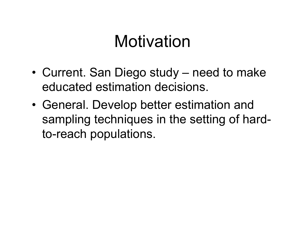## Motivation

- Current. San Diego study need to make educated estimation decisions.
- General. Develop better estimation and sampling techniques in the setting of hardto-reach populations.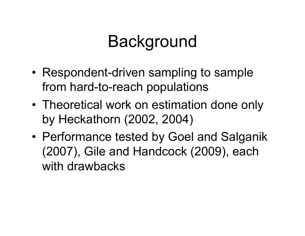## Background

- Respondent-driven sampling to sample from hard-to-reach populations
- Theoretical work on estimation done only by Heckathorn (2002, 2004)
- Performance tested by Goel and Salganik (2007), Gile and Handcock (2009), each with drawbacks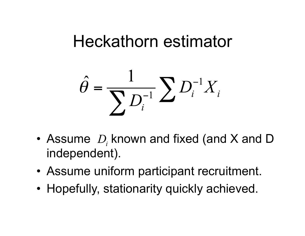## Heckathorn estimator

$$
\hat{\theta} = \frac{1}{\sum D_i^{-1}} \sum D_i^{-1} X_i
$$

- Assume  $D_i$  known and fixed (and X and D independent).
- Assume uniform participant recruitment.
- Hopefully, stationarity quickly achieved.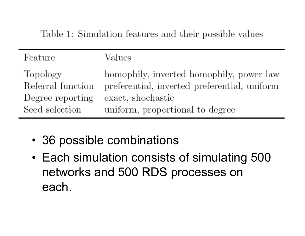| Feature           | Values                                       |
|-------------------|----------------------------------------------|
| Topology          | homophily, inverted homophily, power law     |
| Referral function | preferential, inverted preferential, uniform |
| Degree reporting  | exact, shochastic                            |
| Seed selection    | uniform, proportional to degree              |

- 36 possible combinations
- Each simulation consists of simulating 500 networks and 500 RDS processes on each.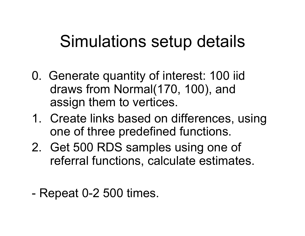## Simulations setup details

- 0. Generate quantity of interest: 100 iid draws from Normal(170, 100), and assign them to vertices.
- 1. Create links based on differences, using one of three predefined functions.
- 2. Get 500 RDS samples using one of referral functions, calculate estimates.
- Repeat 0-2 500 times.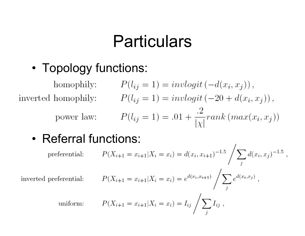#### **Particulars**

• Topology functions:

homophily: 
$$
P(l_{ij} = 1) = invlogit(-d(x_i, x_j)),
$$
  
inverted homophily:  $P(l_{ij} = 1) = invlogit(-20 + d(x_i, x_j)),$   
power law:  $P(l_{ij} = 1) = .01 + \frac{.2}{|\chi|} rank(max(x_i, x_j))$ 

• Referral functions:

$$
preferential: \qquad P(X_{i+1} = x_{i+1} | X_i = x_i) = d(x_i, x_{i+1})^{-1.5} \left/ \sum_j d(x_i, x_j)^{-1.5} \right.,
$$

inverted preferential:

$$
P(X_{i+1} = x_{i+1} | X_i = x_i) = e^{d(x_i, x_{i+1})} / \sum_j e^{d(x_i, x_j)},
$$

uniform:  $P(X_{i+1} = x_{i+1} | X_i = x_i) = I_{ij} / \sum_i I_{ij}$ ,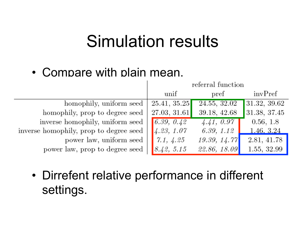#### Simulation results

#### • Compare with plain mean.

|                                        | referral function |               |              |
|----------------------------------------|-------------------|---------------|--------------|
|                                        | unif              | $_{\rm pref}$ | invPref      |
| homophily, uniform seed                | 25.41, 35.25      | 24.55, 32.02  | 31.32, 39.62 |
| homophily, prop to degree seed         | 27.03, 31.61      | 39.18, 42.68  | 31.38, 37.45 |
| inverse homophily, uniform seed        | 6.39, 0.42        | 4.41, 0.97    | 0.56, 1.8    |
| inverse homophily, prop to degree seed | 4.23, 1.07        | 6.39, 1.12    | 1.46, 3.24   |
| power law, uniform seed                | 7.1, 4.25         | 19.39, 14.77  | 2.81, 41.78  |
| power law, prop to degree seed         | 8.42, 5.15        | 22.86, 18.09  | 1.55, 32.99  |

• Dirrefent relative performance in different settings.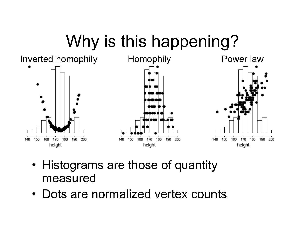# Why is this happening?



- Histograms are those of quantity measured
- Dots are normalized vertex counts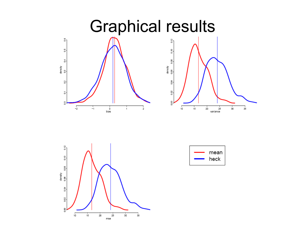



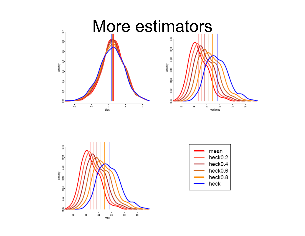



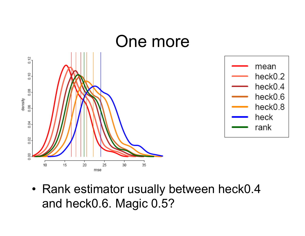

• Rank estimator usually between heck0.4 and heck0.6. Magic 0.5?